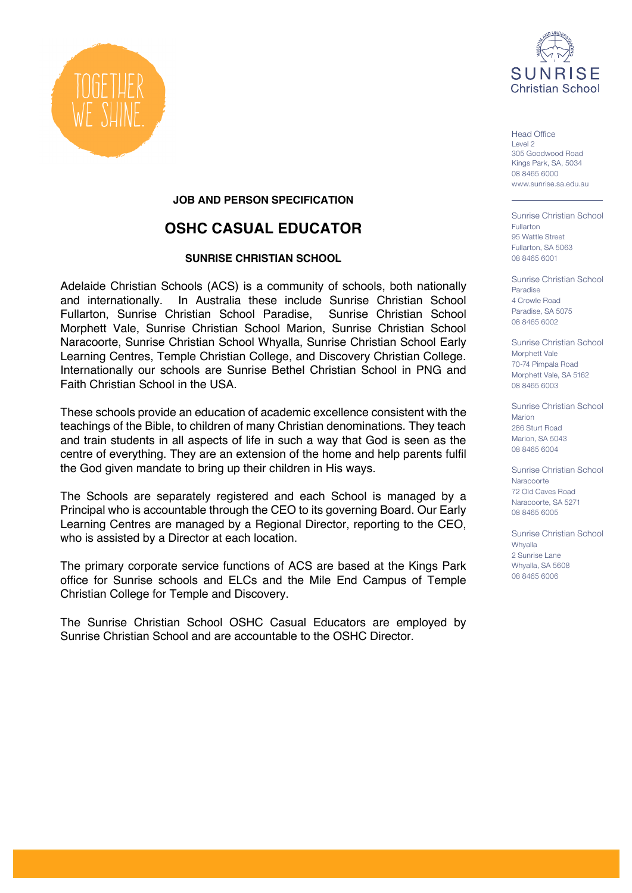

Head Office Level 2 305 Goodwood Road Kings Park, SA, 5034 08 8465 6000 www.sunrise.sa.edu.au

Sunrise Christian School Fullarton 95 Wattle Street Fullarton, SA 5063 08 8465 6001

Sunrise Christian School Paradise 4 Crowle Road Paradise, SA 5075 08 8465 6002

Sunrise Christian School Morphett Vale 70-74 Pimpala Road Morphett Vale, SA 5162 08 8465 6003

Sunrise Christian School Marion 286 Sturt Road Marion, SA 5043 08 8465 6004

Sunrise Christian School Naracoorte 72 Old Caves Road Naracoorte, SA 5271 08 8465 6005

Sunrise Christian School Whyalla 2 Sunrise Lane Whyalla, SA 5608 08 8465 6006



#### **JOB AND PERSON SPECIFICATION**

## **OSHC CASUAL EDUCATOR**

#### **SUNRISE CHRISTIAN SCHOOL**

Adelaide Christian Schools (ACS) is a community of schools, both nationally and internationally. In Australia these include Sunrise Christian School Fullarton, Sunrise Christian School Paradise, Sunrise Christian School Morphett Vale, Sunrise Christian School Marion, Sunrise Christian School Naracoorte, Sunrise Christian School Whyalla, Sunrise Christian School Early Learning Centres, Temple Christian College, and Discovery Christian College. Internationally our schools are Sunrise Bethel Christian School in PNG and Faith Christian School in the USA.

These schools provide an education of academic excellence consistent with the teachings of the Bible, to children of many Christian denominations. They teach and train students in all aspects of life in such a way that God is seen as the centre of everything. They are an extension of the home and help parents fulfil the God given mandate to bring up their children in His ways.

The Schools are separately registered and each School is managed by a Principal who is accountable through the CEO to its governing Board. Our Early Learning Centres are managed by a Regional Director, reporting to the CEO, who is assisted by a Director at each location.

The primary corporate service functions of ACS are based at the Kings Park office for Sunrise schools and ELCs and the Mile End Campus of Temple Christian College for Temple and Discovery.

The Sunrise Christian School OSHC Casual Educators are employed by Sunrise Christian School and are accountable to the OSHC Director.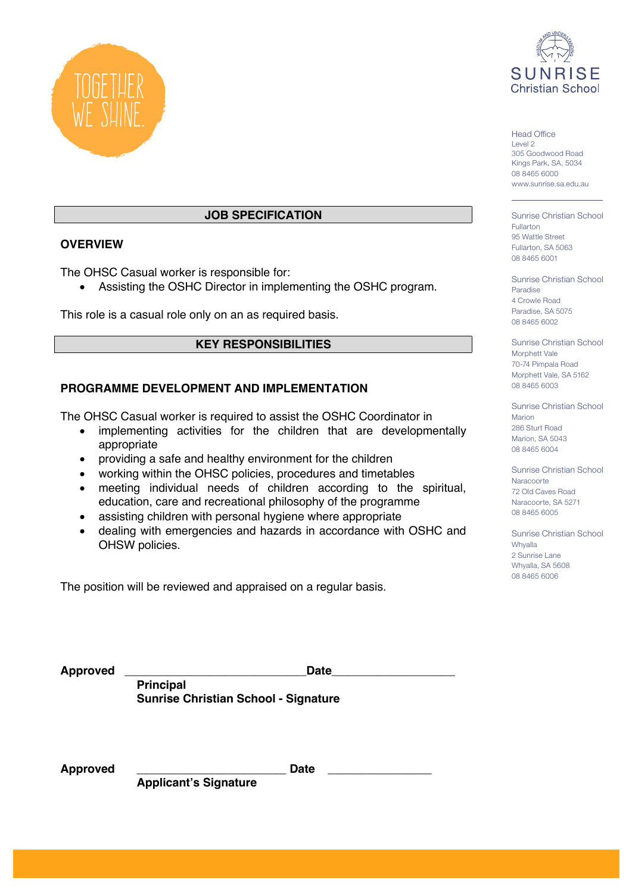



## **JOB SPECIFICATION**

#### **OVERVIEW**

The OHSC Casual worker is responsible for:

• Assisting the OSHC Director in implementing the OSHC program.

This role is a casual role only on an as required basis.

#### **KEY RESPONSIBILITIES**

#### **PROGRAMME DEVELOPMENT AND IMPLEMENTATION**

The OHSC Casual worker is required to assist the OSHC Coordinator in

- implementing activities for the children that are developmentally appropriate
- providing a safe and healthy environment for the children
- working within the OHSC policies, procedures and timetables
- meeting individual needs of children according to the spiritual, education, care and recreational philosophy of the programme
- assisting children with personal hygiene where appropriate
- dealing with emergencies and hazards in accordance with OSHC and OHSW policies.

The position will be reviewed and appraised on a regular basis.

Head Office Level 2 305 Goodwood Road Kings Park, SA, 5034 08 8465 6000 www.sunrise.sa.edu.au

Sunrise Christian School Fullarton 95 Wattle Street Fullarton, SA 5063 08 8465 6001

Sunrise Christian School Paradise 4 Crowle Road Paradise, SA 5075 08 8465 6002

Sunrise Christian School Morphett Vale 70-74 Pimpala Road Morphett Vale, SA 5162 08 8465 6003

Sunrise Christian School Marion 286 Sturt Road Marion, SA 5043 08 8465 6004

Sunrise Christian School Naracoorte 72 Old Caves Road Naracoorte, SA 5271 08 8465 6005

Sunrise Christian School **Whyalla** 2 Sunrise Lane Whyalla, SA 5608 08 8465 6006

| Approved | <b>Date</b>                                 |  |
|----------|---------------------------------------------|--|
|          | <b>Principal</b>                            |  |
|          | <b>Sunrise Christian School - Signature</b> |  |

**Approved \_\_\_\_\_\_\_\_\_\_\_\_\_\_\_\_\_\_\_\_\_\_\_ Date \_\_\_\_\_\_\_\_\_\_\_\_\_\_\_\_**

**Applicant's Signature**